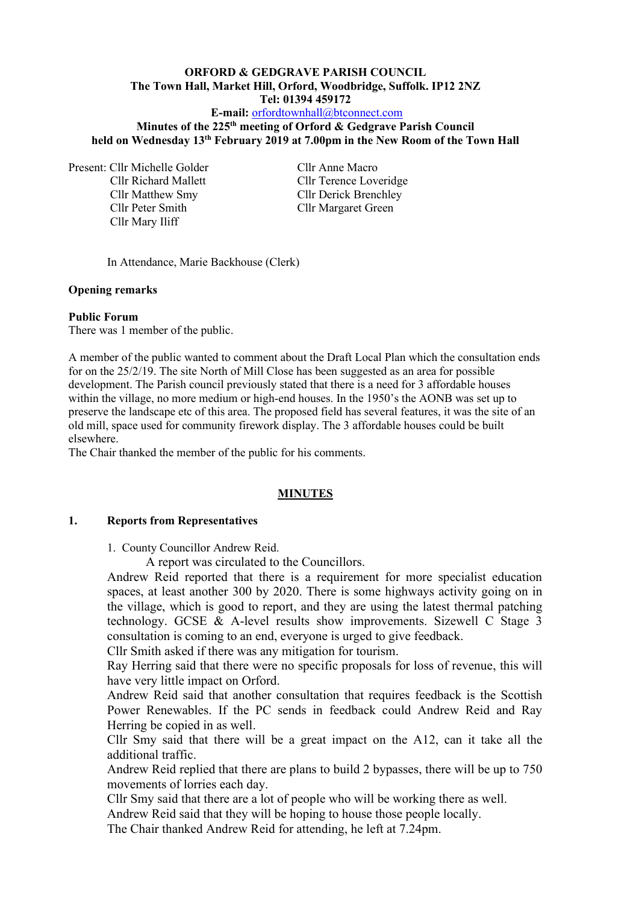# **ORFORD & GEDGRAVE PARISH COUNCIL The Town Hall, Market Hill, Orford, Woodbridge, Suffolk. IP12 2NZ Tel: 01394 459172**

## **E-mail:** [orfordtownhall@btconnect.com](mailto:orfordtownhall@btconnect.com)

**Minutes of the 225 th meeting of Orford & Gedgrave Parish Council held on Wednesday 13th February 2019 at 7.00pm in the New Room of the Town Hall**

Present: Cllr Michelle Golder Cllr Anne Macro Cllr Peter Smith Cllr Margaret Green Cllr Mary Iliff

Cllr Richard Mallett Cllr Terence Loveridge Cllr Matthew Smy Cllr Derick Brenchley

In Attendance, Marie Backhouse (Clerk)

### **Opening remarks**

#### **Public Forum**

There was 1 member of the public.

A member of the public wanted to comment about the Draft Local Plan which the consultation ends for on the 25/2/19. The site North of Mill Close has been suggested as an area for possible development. The Parish council previously stated that there is a need for 3 affordable houses within the village, no more medium or high-end houses. In the 1950's the AONB was set up to preserve the landscape etc of this area. The proposed field has several features, it was the site of an old mill, space used for community firework display. The 3 affordable houses could be built elsewhere.

The Chair thanked the member of the public for his comments.

#### **MINUTES**

#### **1. Reports from Representatives**

1. County Councillor Andrew Reid.

A report was circulated to the Councillors.

Andrew Reid reported that there is a requirement for more specialist education spaces, at least another 300 by 2020. There is some highways activity going on in the village, which is good to report, and they are using the latest thermal patching technology. GCSE & A-level results show improvements. Sizewell C Stage 3 consultation is coming to an end, everyone is urged to give feedback.

Cllr Smith asked if there was any mitigation for tourism.

Ray Herring said that there were no specific proposals for loss of revenue, this will have very little impact on Orford.

Andrew Reid said that another consultation that requires feedback is the Scottish Power Renewables. If the PC sends in feedback could Andrew Reid and Ray Herring be copied in as well.

Cllr Smy said that there will be a great impact on the A12, can it take all the additional traffic.

Andrew Reid replied that there are plans to build 2 bypasses, there will be up to 750 movements of lorries each day.

Cllr Smy said that there are a lot of people who will be working there as well.

Andrew Reid said that they will be hoping to house those people locally.

The Chair thanked Andrew Reid for attending, he left at 7.24pm.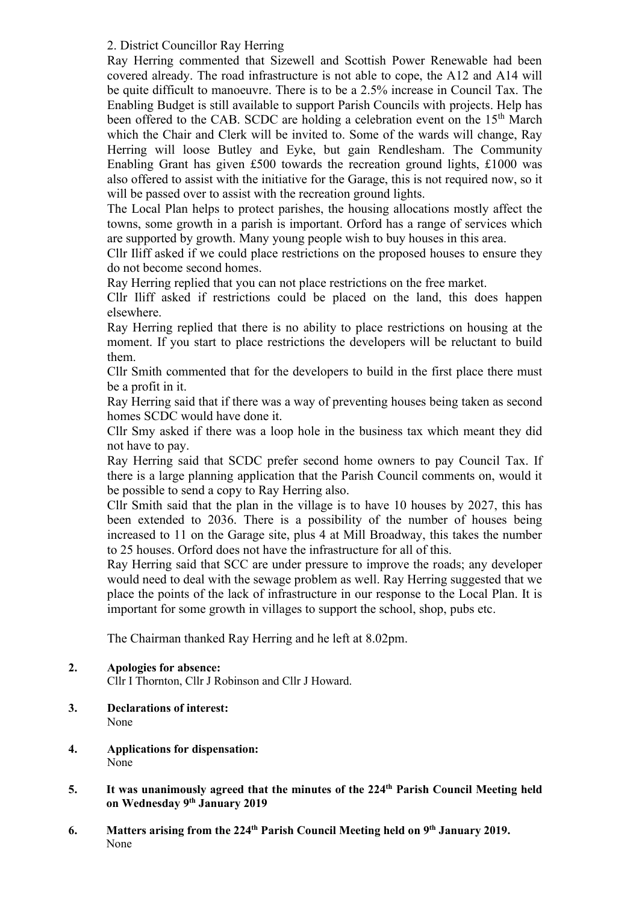## 2. District Councillor Ray Herring

Ray Herring commented that Sizewell and Scottish Power Renewable had been covered already. The road infrastructure is not able to cope, the A12 and A14 will be quite difficult to manoeuvre. There is to be a 2.5% increase in Council Tax. The Enabling Budget is still available to support Parish Councils with projects. Help has been offered to the CAB. SCDC are holding a celebration event on the 15<sup>th</sup> March which the Chair and Clerk will be invited to. Some of the wards will change, Ray Herring will loose Butley and Eyke, but gain Rendlesham. The Community Enabling Grant has given £500 towards the recreation ground lights, £1000 was also offered to assist with the initiative for the Garage, this is not required now, so it will be passed over to assist with the recreation ground lights.

The Local Plan helps to protect parishes, the housing allocations mostly affect the towns, some growth in a parish is important. Orford has a range of services which are supported by growth. Many young people wish to buy houses in this area.

Cllr Iliff asked if we could place restrictions on the proposed houses to ensure they do not become second homes.

Ray Herring replied that you can not place restrictions on the free market.

Cllr Iliff asked if restrictions could be placed on the land, this does happen elsewhere.

Ray Herring replied that there is no ability to place restrictions on housing at the moment. If you start to place restrictions the developers will be reluctant to build them.

Cllr Smith commented that for the developers to build in the first place there must be a profit in it.

Ray Herring said that if there was a way of preventing houses being taken as second homes SCDC would have done it.

Cllr Smy asked if there was a loop hole in the business tax which meant they did not have to pay.

Ray Herring said that SCDC prefer second home owners to pay Council Tax. If there is a large planning application that the Parish Council comments on, would it be possible to send a copy to Ray Herring also.

Cllr Smith said that the plan in the village is to have 10 houses by 2027, this has been extended to 2036. There is a possibility of the number of houses being increased to 11 on the Garage site, plus 4 at Mill Broadway, this takes the number to 25 houses. Orford does not have the infrastructure for all of this.

Ray Herring said that SCC are under pressure to improve the roads; any developer would need to deal with the sewage problem as well. Ray Herring suggested that we place the points of the lack of infrastructure in our response to the Local Plan. It is important for some growth in villages to support the school, shop, pubs etc.

The Chairman thanked Ray Herring and he left at 8.02pm.

# **2. Apologies for absence:**

Cllr I Thornton, Cllr J Robinson and Cllr J Howard.

- **3. Declarations of interest:** None
- **4. Applications for dispensation:** None
- 5. It was unanimously agreed that the minutes of the 224<sup>th</sup> Parish Council Meeting held **on Wednesday 9 th January 2019**
- **6. Matters arising from the 224 th Parish Council Meeting held on 9 th January 2019.** None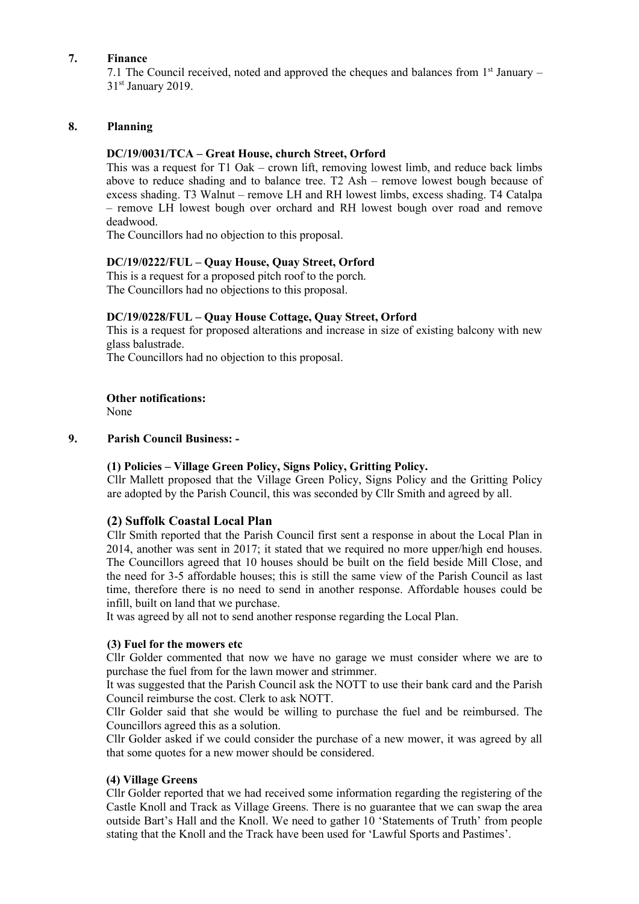### **7. Finance**

7.1 The Council received, noted and approved the cheques and balances from  $1<sup>st</sup>$  January – 31<sup>st</sup> January 2019.

### **8. Planning**

### **DC/19/0031/TCA – Great House, church Street, Orford**

This was a request for T1 Oak – crown lift, removing lowest limb, and reduce back limbs above to reduce shading and to balance tree. T2 Ash – remove lowest bough because of excess shading. T3 Walnut – remove LH and RH lowest limbs, excess shading. T4 Catalpa – remove LH lowest bough over orchard and RH lowest bough over road and remove deadwood.

The Councillors had no objection to this proposal.

### **DC/19/0222/FUL – Quay House, Quay Street, Orford**

This is a request for a proposed pitch roof to the porch. The Councillors had no objections to this proposal.

### **DC/19/0228/FUL – Quay House Cottage, Quay Street, Orford**

This is a request for proposed alterations and increase in size of existing balcony with new glass balustrade.

The Councillors had no objection to this proposal.

**Other notifications:**

None

### **9. Parish Council Business: -**

### **(1) Policies – Village Green Policy, Signs Policy, Gritting Policy.**

Cllr Mallett proposed that the Village Green Policy, Signs Policy and the Gritting Policy are adopted by the Parish Council, this was seconded by Cllr Smith and agreed by all.

### **(2) Suffolk Coastal Local Plan**

Cllr Smith reported that the Parish Council first sent a response in about the Local Plan in 2014, another was sent in 2017; it stated that we required no more upper/high end houses. The Councillors agreed that 10 houses should be built on the field beside Mill Close, and the need for 3-5 affordable houses; this is still the same view of the Parish Council as last time, therefore there is no need to send in another response. Affordable houses could be infill, built on land that we purchase.

It was agreed by all not to send another response regarding the Local Plan.

### **(3) Fuel for the mowers etc**

Cllr Golder commented that now we have no garage we must consider where we are to purchase the fuel from for the lawn mower and strimmer.

It was suggested that the Parish Council ask the NOTT to use their bank card and the Parish Council reimburse the cost. Clerk to ask NOTT.

Cllr Golder said that she would be willing to purchase the fuel and be reimbursed. The Councillors agreed this as a solution.

Cllr Golder asked if we could consider the purchase of a new mower, it was agreed by all that some quotes for a new mower should be considered.

### **(4) Village Greens**

Cllr Golder reported that we had received some information regarding the registering of the Castle Knoll and Track as Village Greens. There is no guarantee that we can swap the area outside Bart's Hall and the Knoll. We need to gather 10 'Statements of Truth' from people stating that the Knoll and the Track have been used for 'Lawful Sports and Pastimes'.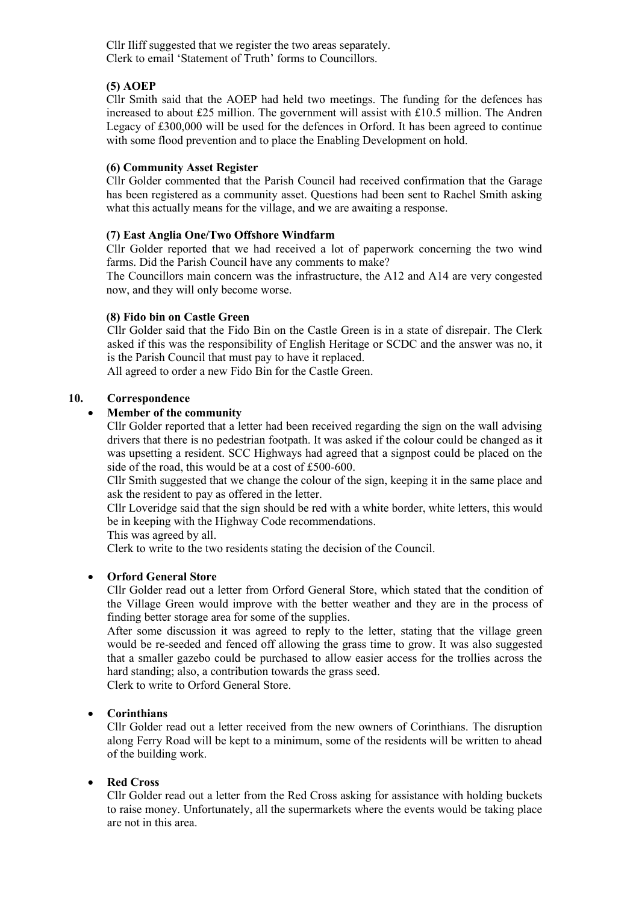Cllr Iliff suggested that we register the two areas separately. Clerk to email 'Statement of Truth' forms to Councillors.

## **(5) AOEP**

Cllr Smith said that the AOEP had held two meetings. The funding for the defences has increased to about £25 million. The government will assist with £10.5 million. The Andren Legacy of £300,000 will be used for the defences in Orford. It has been agreed to continue with some flood prevention and to place the Enabling Development on hold.

### **(6) Community Asset Register**

Cllr Golder commented that the Parish Council had received confirmation that the Garage has been registered as a community asset. Questions had been sent to Rachel Smith asking what this actually means for the village, and we are awaiting a response.

### **(7) East Anglia One/Two Offshore Windfarm**

Cllr Golder reported that we had received a lot of paperwork concerning the two wind farms. Did the Parish Council have any comments to make?

The Councillors main concern was the infrastructure, the A12 and A14 are very congested now, and they will only become worse.

### **(8) Fido bin on Castle Green**

Cllr Golder said that the Fido Bin on the Castle Green is in a state of disrepair. The Clerk asked if this was the responsibility of English Heritage or SCDC and the answer was no, it is the Parish Council that must pay to have it replaced.

All agreed to order a new Fido Bin for the Castle Green.

### **10. Correspondence**

### • **Member of the community**

Cllr Golder reported that a letter had been received regarding the sign on the wall advising drivers that there is no pedestrian footpath. It was asked if the colour could be changed as it was upsetting a resident. SCC Highways had agreed that a signpost could be placed on the side of the road, this would be at a cost of £500-600.

Cllr Smith suggested that we change the colour of the sign, keeping it in the same place and ask the resident to pay as offered in the letter.

Cllr Loveridge said that the sign should be red with a white border, white letters, this would be in keeping with the Highway Code recommendations.

This was agreed by all.

Clerk to write to the two residents stating the decision of the Council.

### • **Orford General Store**

Cllr Golder read out a letter from Orford General Store, which stated that the condition of the Village Green would improve with the better weather and they are in the process of finding better storage area for some of the supplies.

After some discussion it was agreed to reply to the letter, stating that the village green would be re-seeded and fenced off allowing the grass time to grow. It was also suggested that a smaller gazebo could be purchased to allow easier access for the trollies across the hard standing; also, a contribution towards the grass seed.

Clerk to write to Orford General Store.

### • **Corinthians**

Cllr Golder read out a letter received from the new owners of Corinthians. The disruption along Ferry Road will be kept to a minimum, some of the residents will be written to ahead of the building work.

### • **Red Cross**

Cllr Golder read out a letter from the Red Cross asking for assistance with holding buckets to raise money. Unfortunately, all the supermarkets where the events would be taking place are not in this area.